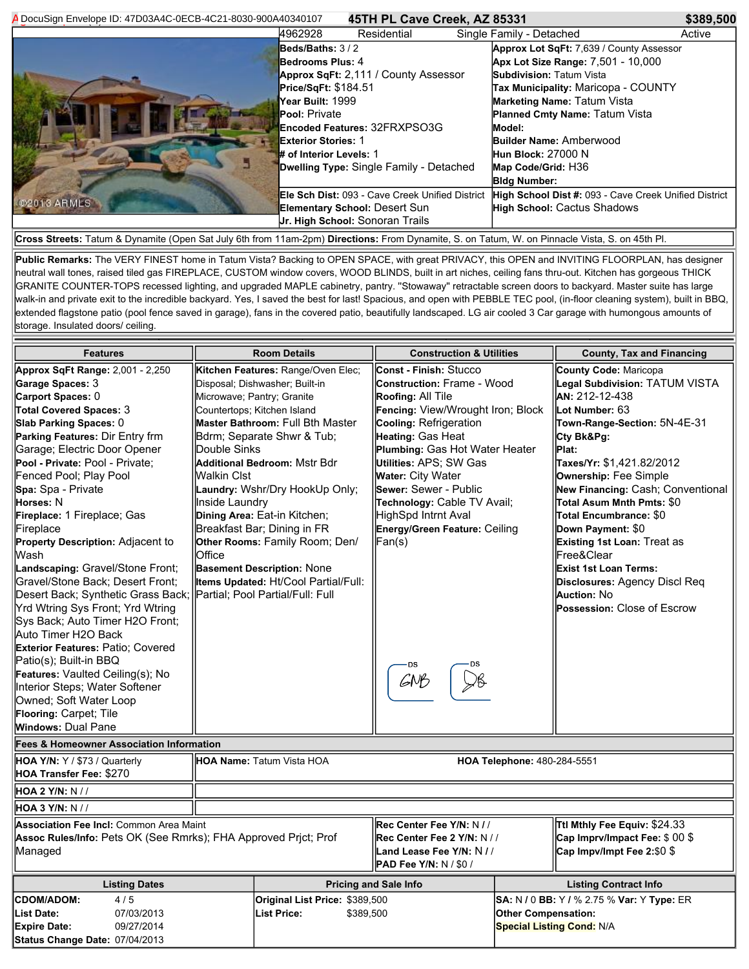| A DocuSign Envelope ID: 47D03A4C-0ECB-4C21-8030-900A40340107                                                                                   |                                                                                                                            | 45TH PL Cave Creek, AZ 85331                                                                                                                                                                                                   |  |                                                                                                                                                                                                                                                                                                                                 | \$389,500 |  |
|------------------------------------------------------------------------------------------------------------------------------------------------|----------------------------------------------------------------------------------------------------------------------------|--------------------------------------------------------------------------------------------------------------------------------------------------------------------------------------------------------------------------------|--|---------------------------------------------------------------------------------------------------------------------------------------------------------------------------------------------------------------------------------------------------------------------------------------------------------------------------------|-----------|--|
|                                                                                                                                                | 4962928                                                                                                                    | Residential                                                                                                                                                                                                                    |  | Single Family - Detached                                                                                                                                                                                                                                                                                                        | Active    |  |
|                                                                                                                                                | <b>Pool: Private</b><br>Dwelling Type: Single Family - Detached                                                            | Beds/Baths: 3/2<br><b>Bedrooms Plus: 4</b><br>Approx SqFt: 2,111 / County Assessor<br>Price/SqFt: \$184.51<br>Year Built: 1999<br><b>Encoded Features: 32FRXPSO3G</b><br><b>Exterior Stories: 1</b><br># of Interior Levels: 1 |  | Approx Lot SqFt: 7,639 / County Assessor<br>Apx Lot Size Range: 7,501 - 10,000<br><b>Subdivision: Tatum Vista</b><br>Tax Municipality: Maricopa - COUNTY<br><b>Marketing Name: Tatum Vista</b><br><b>Planned Cmty Name: Tatum Vista</b><br>Model:<br>Builder Name: Amberwood<br><b>Hun Block: 27000 N</b><br>Map Code/Grid: H36 |           |  |
| @2013 ARMLS                                                                                                                                    |                                                                                                                            |                                                                                                                                                                                                                                |  | <b>Bldg Number:</b>                                                                                                                                                                                                                                                                                                             |           |  |
|                                                                                                                                                | Ele Sch Dist: 093 - Cave Creek Unified District<br><b>Elementary School: Desert Sun</b><br>Jr. High School: Sonoran Trails |                                                                                                                                                                                                                                |  | High School Dist #: 093 - Cave Creek Unified District<br><b>High School: Cactus Shadows</b>                                                                                                                                                                                                                                     |           |  |
| Cross Streets: Tatum & Dynamite (Open Sat July 6th from 11am-2pm) Directions: From Dynamite, S. on Tatum, W. on Pinnacle Vista, S. on 45th Pl. |                                                                                                                            |                                                                                                                                                                                                                                |  |                                                                                                                                                                                                                                                                                                                                 |           |  |

**Public Remarks:** The VERY FINEST home in Tatum Vista? Backing to OPEN SPACE, with great PRIVACY, this OPEN and INVITING FLOORPLAN, has designer neutral wall tones, raised tiled gas FIREPLACE, CUSTOM window covers, WOOD BLINDS, built in art niches, ceiling fans thru-out. Kitchen has gorgeous THICK GRANITE COUNTER-TOPS recessed lighting, and upgraded MAPLE cabinetry, pantry. ''Stowaway'' retractable screen doors to backyard. Master suite has large walk-in and private exit to the incredible backyard. Yes, I saved the best for last! Spacious, and open with PEBBLE TEC pool, (in-floor cleaning system), built in BBQ, extended flagstone patio (pool fence saved in garage), fans in the covered patio, beautifully landscaped. LG air cooled 3 Car garage with humongous amounts of storage. Insulated doors/ ceiling.

| <b>Features</b>                                                                                            | <b>Room Details</b> |                                         | <b>Construction &amp; Utilities</b> |                                  | <b>County, Tax and Financing</b>                  |  |  |
|------------------------------------------------------------------------------------------------------------|---------------------|-----------------------------------------|-------------------------------------|----------------------------------|---------------------------------------------------|--|--|
| Approx SqFt Range: 2,001 - 2,250                                                                           |                     | Kitchen Features: Range/Oven Elec;      | <b>Const - Finish: Stucco</b>       |                                  | County Code: Maricopa                             |  |  |
| Garage Spaces: 3                                                                                           |                     | Disposal; Dishwasher; Built-in          | <b>Construction: Frame - Wood</b>   |                                  | Legal Subdivision: TATUM VISTA                    |  |  |
| Carport Spaces: 0                                                                                          |                     | Microwave; Pantry; Granite              | Roofing: All Tile                   |                                  | AN: 212-12-438                                    |  |  |
| <b>Total Covered Spaces: 3</b>                                                                             |                     | Countertops: Kitchen Island             | Fencing: View/Wrought Iron; Block   |                                  | Lot Number: 63                                    |  |  |
| Slab Parking Spaces: 0                                                                                     |                     | <b>Master Bathroom: Full Bth Master</b> | Cooling: Refrigeration              |                                  | Town-Range-Section: 5N-4E-31                      |  |  |
| Parking Features: Dir Entry frm                                                                            |                     | Bdrm; Separate Shwr & Tub;              | Heating: Gas Heat                   |                                  | Cty Bk&Pg:                                        |  |  |
| Garage; Electric Door Opener                                                                               | Double Sinks        |                                         | Plumbing: Gas Hot Water Heater      |                                  | Plat:                                             |  |  |
| Pool - Private: Pool - Private;                                                                            |                     | <b>Additional Bedroom: Mstr Bdr</b>     | Utilities: APS; SW Gas              |                                  | Taxes/Yr: \$1.421.82/2012                         |  |  |
| Fenced Pool; Play Pool                                                                                     | Walkin Clst         |                                         | Water: City Water                   |                                  | Ownership: Fee Simple                             |  |  |
| Spa: Spa - Private                                                                                         |                     | Laundry: Wshr/Dry HookUp Only;          | Sewer: Sewer - Public               |                                  | New Financing: Cash; Conventional                 |  |  |
| <b>Horses: N</b>                                                                                           | Inside Laundry      |                                         | Technology: Cable TV Avail;         |                                  | Total Asum Mnth Pmts: \$0                         |  |  |
| Fireplace: 1 Fireplace; Gas                                                                                |                     | Dining Area: Eat-in Kitchen;            | HighSpd Intrnt Aval                 |                                  | Total Encumbrance: \$0                            |  |  |
| Fireplace                                                                                                  |                     | Breakfast Bar; Dining in FR             | Energy/Green Feature: Ceiling       |                                  | Down Payment: \$0                                 |  |  |
| Property Description: Adjacent to                                                                          |                     | Other Rooms: Family Room; Den/          | Fan(s)                              |                                  | Existing 1st Loan: Treat as                       |  |  |
| Wash                                                                                                       | Office              |                                         |                                     |                                  | Free&Clear                                        |  |  |
| Landscaping: Gravel/Stone Front;                                                                           |                     | <b>Basement Description: None</b>       |                                     |                                  | Exist 1st Loan Terms:                             |  |  |
| Gravel/Stone Back; Desert Front;                                                                           |                     | Items Updated: Ht/Cool Partial/Full:    |                                     |                                  | Disclosures: Agency Discl Req                     |  |  |
| Desert Back; Synthetic Grass Back; Partial; Pool Partial/Full: Full                                        |                     |                                         |                                     |                                  | <b>Auction: No</b>                                |  |  |
| Yrd Wtring Sys Front; Yrd Wtring                                                                           |                     |                                         |                                     |                                  | Possession: Close of Escrow                       |  |  |
| Sys Back; Auto Timer H2O Front;                                                                            |                     |                                         |                                     |                                  |                                                   |  |  |
| Auto Timer H2O Back                                                                                        |                     |                                         |                                     |                                  |                                                   |  |  |
| Exterior Features: Patio; Covered                                                                          |                     |                                         |                                     |                                  |                                                   |  |  |
| Patio(s); Built-in BBQ                                                                                     |                     |                                         | ·ns                                 |                                  |                                                   |  |  |
| Features: Vaulted Ceiling(s); No                                                                           |                     |                                         | GNB                                 |                                  |                                                   |  |  |
| Interior Steps; Water Softener                                                                             |                     |                                         |                                     |                                  |                                                   |  |  |
| Owned; Soft Water Loop                                                                                     |                     |                                         |                                     |                                  |                                                   |  |  |
| Flooring: Carpet; Tile                                                                                     |                     |                                         |                                     |                                  |                                                   |  |  |
| <b>Windows: Dual Pane</b>                                                                                  |                     |                                         |                                     |                                  |                                                   |  |  |
| <b>Fees &amp; Homeowner Association Information</b>                                                        |                     |                                         |                                     |                                  |                                                   |  |  |
| HOA Y/N: Y / \$73 / Quarterly                                                                              |                     | <b>HOA Name: Tatum Vista HOA</b>        | HOA Telephone: 480-284-5551         |                                  |                                                   |  |  |
| <b>HOA Transfer Fee: \$270</b>                                                                             |                     |                                         |                                     |                                  |                                                   |  |  |
| <b>HOA 2 Y/N: N //</b>                                                                                     |                     |                                         |                                     |                                  |                                                   |  |  |
| HOA 3 Y/N: N//                                                                                             |                     |                                         |                                     |                                  |                                                   |  |  |
| <b>Association Fee Incl: Common Area Maint</b><br>Ttl Mthly Fee Equiv: \$24.33<br>Rec Center Fee Y/N: N // |                     |                                         |                                     |                                  |                                                   |  |  |
| Assoc Rules/Info: Pets OK (See Rmrks); FHA Approved Prjct; Prof                                            |                     |                                         | Rec Center Fee 2 Y/N: N / /         |                                  | Cap Imprv/Impact Fee: \$00 \$                     |  |  |
| Managed                                                                                                    |                     |                                         | Land Lease Fee Y/N: N //            |                                  | Cap Impv/Impt Fee 2:\$0 \$                        |  |  |
|                                                                                                            |                     | <b>PAD Fee Y/N: N / \$0 /</b>           |                                     |                                  |                                                   |  |  |
| <b>Listing Dates</b>                                                                                       |                     |                                         | <b>Pricing and Sale Info</b>        |                                  | <b>Listing Contract Info</b>                      |  |  |
| <b>CDOM/ADOM:</b><br>4/5                                                                                   |                     | Original List Price: \$389,500          |                                     |                                  | <b>SA: N / 0 BB: Y / % 2.75 % Var: Y Type: ER</b> |  |  |
| <b>List Date:</b><br>07/03/2013                                                                            |                     | <b>List Price:</b><br>\$389,500         |                                     | Other Compensation:              |                                                   |  |  |
| <b>Expire Date:</b><br>09/27/2014                                                                          |                     |                                         |                                     | <b>Special Listing Cond: N/A</b> |                                                   |  |  |
| Status Change Date: 07/04/2013                                                                             |                     |                                         |                                     |                                  |                                                   |  |  |